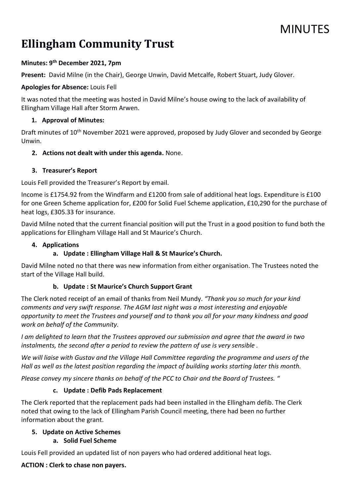# **MINUTES**

# Ellingham Community Trust

# Minutes: 9th December 2021, 7pm

Present: David Milne (in the Chair), George Unwin, David Metcalfe, Robert Stuart, Judy Glover.

# Apologies for Absence: Louis Fell

It was noted that the meeting was hosted in David Milne's house owing to the lack of availability of Ellingham Village Hall after Storm Arwen.

# 1. Approval of Minutes:

Draft minutes of 10<sup>th</sup> November 2021 were approved, proposed by Judy Glover and seconded by George Unwin.

# 2. Actions not dealt with under this agenda. None.

# 3. Treasurer's Report

Louis Fell provided the Treasurer's Report by email.

Income is £1754.92 from the Windfarm and £1200 from sale of additional heat logs. Expenditure is £100 for one Green Scheme application for, £200 for Solid Fuel Scheme application, £10,290 for the purchase of heat logs, £305.33 for insurance.

David Milne noted that the current financial position will put the Trust in a good position to fund both the applications for Ellingham Village Hall and St Maurice's Church.

# 4. Applications

# a. Update : Ellingham Village Hall & St Maurice's Church.

David Milne noted no that there was new information from either organisation. The Trustees noted the start of the Village Hall build.

# b. Update : St Maurice's Church Support Grant

The Clerk noted receipt of an email of thanks from Neil Mundy. "Thank you so much for your kind comments and very swift response. The AGM last night was a most interesting and enjoyable opportunity to meet the Trustees and yourself and to thank you all for your many kindness and good work on behalf of the Community.

I am delighted to learn that the Trustees approved our submission and agree that the award in two instalments, the second after a period to review the pattern of use is very sensible .

We will liaise with Gustav and the Village Hall Committee regarding the programme and users of the Hall as well as the latest position regarding the impact of building works starting later this month.

Please convey my sincere thanks on behalf of the PCC to Chair and the Board of Trustees. "

# c. Update : Defib Pads Replacement

The Clerk reported that the replacement pads had been installed in the Ellingham defib. The Clerk noted that owing to the lack of Ellingham Parish Council meeting, there had been no further information about the grant.

# 5. Update on Active Schemes

# a. Solid Fuel Scheme

Louis Fell provided an updated list of non payers who had ordered additional heat logs.

# ACTION : Clerk to chase non payers.